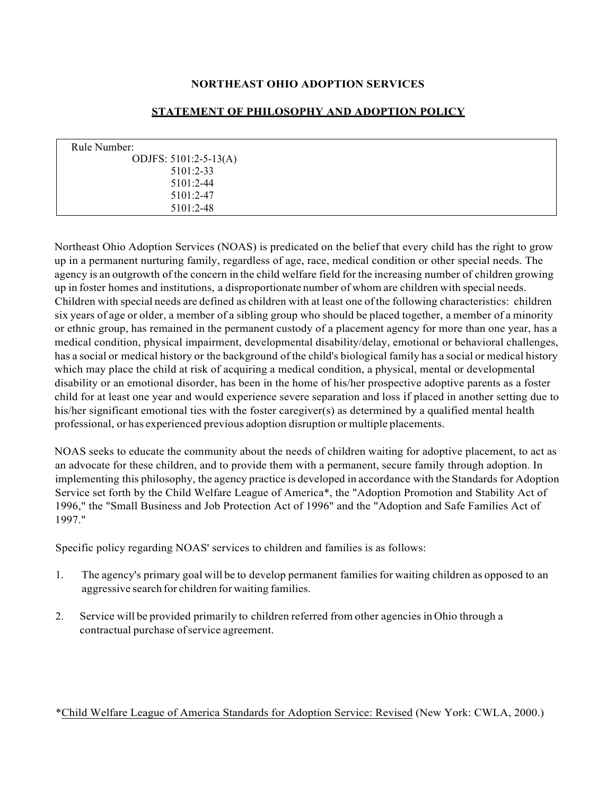# **NORTHEAST OHIO ADOPTION SERVICES**

# Rule Number: ODJFS: 5101:2-5-13(A) 5101:2-33 5101:2-44 5101:2-47 5101:2-48

## **STATEMENT OF PHILOSOPHY AND ADOPTION POLICY**

Northeast Ohio Adoption Services (NOAS) is predicated on the belief that every child has the right to grow up in a permanent nurturing family, regardless of age, race, medical condition or other special needs. The agency is an outgrowth of the concern in the child welfare field for the increasing number of children growing up in foster homes and institutions, a disproportionate number of whom are children with special needs. Children with special needs are defined as children with at least one ofthe following characteristics: children six years of age or older, a member of a sibling group who should be placed together, a member of a minority or ethnic group, has remained in the permanent custody of a placement agency for more than one year, has a medical condition, physical impairment, developmental disability/delay, emotional or behavioral challenges, has a social or medical history or the background of the child's biological family has a social or medical history which may place the child at risk of acquiring a medical condition, a physical, mental or developmental disability or an emotional disorder, has been in the home of his/her prospective adoptive parents as a foster child for at least one year and would experience severe separation and loss if placed in another setting due to his/her significant emotional ties with the foster caregiver(s) as determined by a qualified mental health professional, or has experienced previous adoption disruption or multiple placements.

NOAS seeks to educate the community about the needs of children waiting for adoptive placement, to act as an advocate for these children, and to provide them with a permanent, secure family through adoption. In implementing this philosophy, the agency practice is developed in accordance with the Standards for Adoption Service set forth by the Child Welfare League of America\*, the "Adoption Promotion and Stability Act of 1996," the "Small Business and Job Protection Act of 1996" and the "Adoption and Safe Families Act of 1997."

Specific policy regarding NOAS' services to children and families is as follows:

- 1. The agency's primary goal will be to develop permanent familiesfor waiting children as opposed to an aggressive search for children for waiting families.
- 2. Service will be provided primarily to children referred from other agencies in Ohio through a contractual purchase of service agreement.

# \*Child Welfare League of America Standards for Adoption Service: Revised (New York: CWLA, 2000.)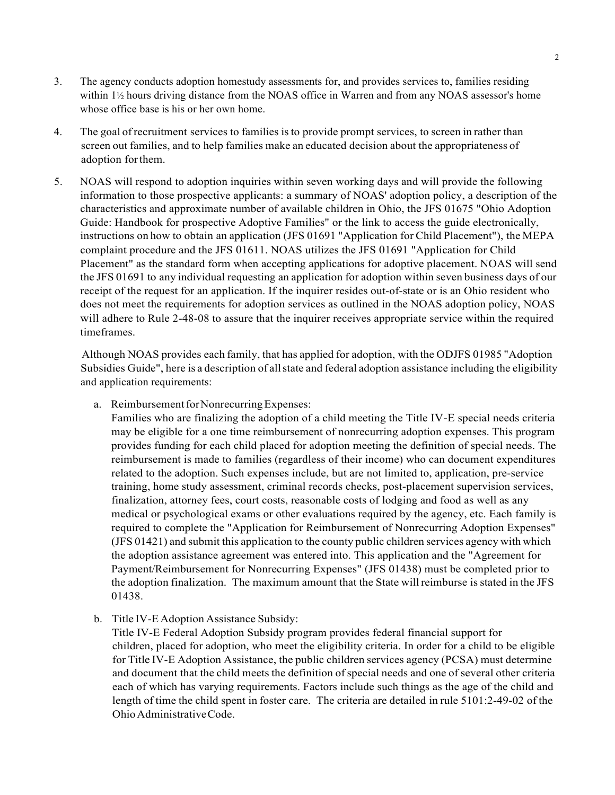- 3. The agency conducts adoption homestudy assessments for, and provides services to, families residing within 1½ hours driving distance from the NOAS office in Warren and from any NOAS assessor's home whose office base is his or her own home.
- 4. The goal ofrecruitment services to families isto provide prompt services, to screen in rather than screen out families, and to help families make an educated decision about the appropriateness of adoption forthem.
- 5. NOAS will respond to adoption inquiries within seven working days and will provide the following information to those prospective applicants: a summary of NOAS' adoption policy, a description of the characteristics and approximate number of available children in Ohio, the JFS 01675 "Ohio Adoption Guide: Handbook for prospective Adoptive Families" or the link to access the guide electronically, instructions on how to obtain an application (JFS 01691 "Application for Child Placement"), the MEPA complaint procedure and the JFS 01611. NOAS utilizes the JFS 01691 "Application for Child Placement" as the standard form when accepting applications for adoptive placement. NOAS will send the JFS 01691 to any individual requesting an application for adoption within seven business days of our receipt of the request for an application. If the inquirer resides out-of-state or is an Ohio resident who does not meet the requirements for adoption services as outlined in the NOAS adoption policy, NOAS will adhere to Rule 2-48-08 to assure that the inquirer receives appropriate service within the required timeframes.

Although NOAS provides each family, that has applied for adoption, with the ODJFS 01985 "Adoption Subsidies Guide", here is a description of all state and federal adoption assistance including the eligibility and application requirements:

a. Reimbursement for Nonrecurring Expenses:

Families who are finalizing the adoption of a child meeting the Title IV-E special needs criteria may be eligible for a one time reimbursement of nonrecurring adoption expenses. This program provides funding for each child placed for adoption meeting the definition of special needs. The reimbursement is made to families (regardless of their income) who can document expenditures related to the adoption. Such expenses include, but are not limited to, application, pre-service training, home study assessment, criminal records checks, post-placement supervision services, finalization, attorney fees, court costs, reasonable costs of lodging and food as well as any medical or psychological exams or other evaluations required by the agency, etc. Each family is required to complete the "Application for Reimbursement of Nonrecurring Adoption Expenses" (JFS 01421) and submit this application to the county public children services agency with which the adoption assistance agreement was entered into. This application and the "Agreement for Payment/Reimbursement for Nonrecurring Expenses" (JFS 01438) must be completed prior to the adoption finalization. The maximum amount that the State willreimburse isstated in the JFS 01438.

b. Title IV-E Adoption Assistance Subsidy:

Title IV-E Federal Adoption Subsidy program provides federal financial support for children, placed for adoption, who meet the eligibility criteria. In order for a child to be eligible for Title IV-E Adoption Assistance, the public children services agency (PCSA) must determine and document that the child meets the definition of special needs and one of several other criteria each of which has varying requirements. Factors include such things as the age of the child and length of time the child spent in foster care. The criteria are detailed in rule 5101:2-49-02 of the OhioAdministrativeCode.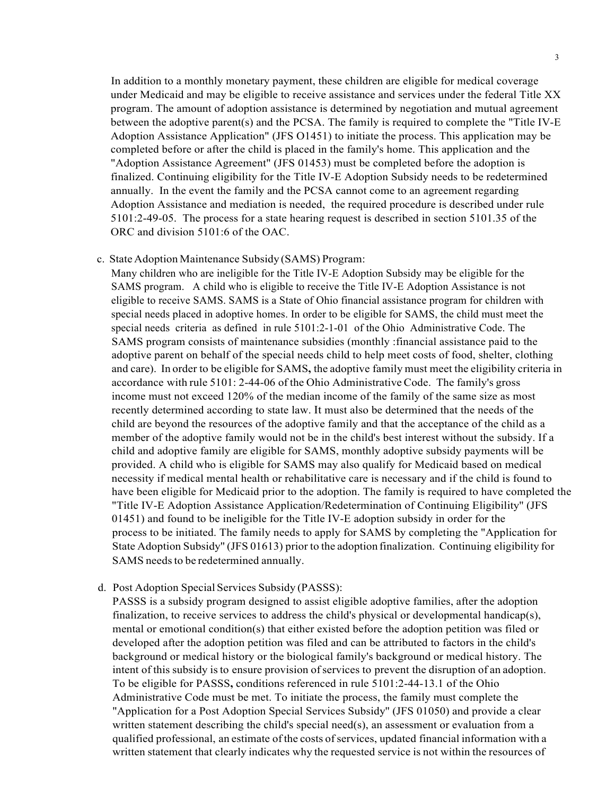In addition to a monthly monetary payment, these children are eligible for medical coverage under Medicaid and may be eligible to receive assistance and services under the federal Title XX program. The amount of adoption assistance is determined by negotiation and mutual agreement between the adoptive parent(s) and the PCSA. The family is required to complete the "Title IV-E Adoption Assistance Application" (JFS O1451) to initiate the process. This application may be completed before or after the child is placed in the family's home. This application and the "Adoption Assistance Agreement" (JFS 01453) must be completed before the adoption is finalized. Continuing eligibility for the Title IV-E Adoption Subsidy needs to be redetermined annually. In the event the family and the PCSA cannot come to an agreement regarding Adoption Assistance and mediation is needed, the required procedure is described under rule 5101:2-49-05. The process for a state hearing request is described in section 5101.35 of the ORC and division 5101:6 of the OAC.

### c. State Adoption Maintenance Subsidy (SAMS) Program:

Many children who are ineligible for the Title IV-E Adoption Subsidy may be eligible for the SAMS program. A child who is eligible to receive the Title IV-E Adoption Assistance is not eligible to receive SAMS. SAMS is a State of Ohio financial assistance program for children with special needs placed in adoptive homes. In order to be eligible for SAMS, the child must meet the special needs criteria as defined in rule 5101:2-1-01 of the Ohio Administrative Code. The SAMS program consists of maintenance subsidies (monthly :financial assistance paid to the adoptive parent on behalf of the special needs child to help meet costs of food, shelter, clothing and care). In order to be eligible for SAMS**,** the adoptive family must meet the eligibility criteria in accordance with rule 5101: 2-44-06 of the Ohio Administrative Code. The family's gross income must not exceed 120% of the median income of the family of the same size as most recently determined according to state law. It must also be determined that the needs of the child are beyond the resources of the adoptive family and that the acceptance of the child as a member of the adoptive family would not be in the child's best interest without the subsidy. If a child and adoptive family are eligible for SAMS, monthly adoptive subsidy payments will be provided. A child who is eligible for SAMS may also qualify for Medicaid based on medical necessity if medical mental health or rehabilitative care is necessary and if the child is found to have been eligible for Medicaid prior to the adoption. The family is required to have completed the "Title IV-E Adoption Assistance Application/Redetermination of Continuing Eligibility'' (JFS 01451) and found to be ineligible for the Title IV-E adoption subsidy in order for the process to be initiated. The family needs to apply for SAMS by completing the "Application for State Adoption Subsidy'' (JFS 01613) prior to the adoption finalization. Continuing eligibility for SAMS needs to be redetermined annually.

### d. Post Adoption Special Services Subsidy (PASSS):

PASSS is a subsidy program designed to assist eligible adoptive families, after the adoption finalization, to receive services to address the child's physical or developmental handicap(s), mental or emotional condition(s) that either existed before the adoption petition was filed or developed after the adoption petition was filed and can be attributed to factors in the child's background or medical history or the biological family's background or medical history. The intent of this subsidy is to ensure provision of services to prevent the disruption of an adoption. To be eligible for PASSS**,** conditions referenced in rule 5101:2-44-13.1 of the Ohio Administrative Code must be met. To initiate the process, the family must complete the "Application for a Post Adoption Special Services Subsidy'' (JFS 01050) and provide a clear written statement describing the child's special need(s), an assessment or evaluation from a qualified professional, an estimate of the costs ofservices, updated financial information with a written statement that clearly indicates why the requested service is not within the resources of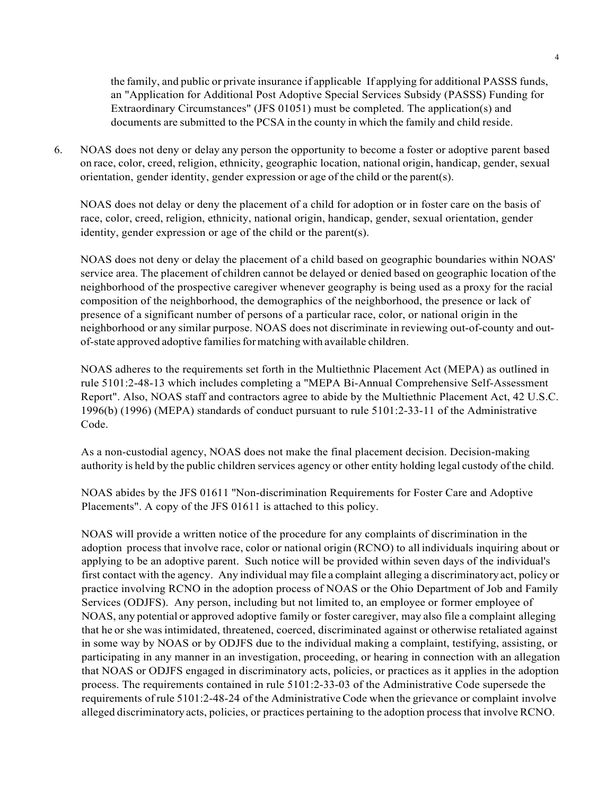the family, and public or private insurance if applicable If applying for additional PASSS funds, an "Application for Additional Post Adoptive Special Services Subsidy (PASSS) Funding for Extraordinary Circumstances" (JFS 01051) must be completed. The application(s) and documents are submitted to the PCSA in the county in which the family and child reside.

6. NOAS does not deny or delay any person the opportunity to become a foster or adoptive parent based on race, color, creed, religion, ethnicity, geographic location, national origin, handicap, gender, sexual orientation, gender identity, gender expression or age of the child or the parent(s).

NOAS does not delay or deny the placement of a child for adoption or in foster care on the basis of race, color, creed, religion, ethnicity, national origin, handicap, gender, sexual orientation, gender identity, gender expression or age of the child or the parent(s).

NOAS does not deny or delay the placement of a child based on geographic boundaries within NOAS' service area. The placement of children cannot be delayed or denied based on geographic location of the neighborhood of the prospective caregiver whenever geography is being used as a proxy for the racial composition of the neighborhood, the demographics of the neighborhood, the presence or lack of presence of a significant number of persons of a particular race, color, or national origin in the neighborhood or any similar purpose. NOAS does not discriminate in reviewing out-of-county and outof-state approved adoptive familiesformatching with available children.

NOAS adheres to the requirements set forth in the Multiethnic Placement Act (MEPA) as outlined in rule 5101:2-48-13 which includes completing a "MEPA Bi-Annual Comprehensive Self-Assessment Report". Also, NOAS staff and contractors agree to abide by the Multiethnic Placement Act, 42 U.S.C. 1996(b) (1996) (MEPA) standards of conduct pursuant to rule 5101:2-33-11 of the Administrative Code.

As a non-custodial agency, NOAS does not make the final placement decision. Decision-making authority is held by the public children services agency or other entity holding legal custody ofthe child.

NOAS abides by the JFS 01611 ''Non-discrimination Requirements for Foster Care and Adoptive Placements". A copy of the JFS 01611 is attached to this policy.

NOAS will provide a written notice of the procedure for any complaints of discrimination in the adoption process that involve race, color or national origin (RCNO) to all individuals inquiring about or applying to be an adoptive parent. Such notice will be provided within seven days of the individual's first contact with the agency. Any individual may file a complaint alleging a discriminatoryact, policy or practice involving RCNO in the adoption process of NOAS or the Ohio Department of Job and Family Services (ODJFS). Any person, including but not limited to, an employee or former employee of NOAS, any potential or approved adoptive family or foster caregiver, may also file a complaint alleging that he or she was intimidated, threatened, coerced, discriminated against or otherwise retaliated against in some way by NOAS or by ODJFS due to the individual making a complaint, testifying, assisting, or participating in any manner in an investigation, proceeding, or hearing in connection with an allegation that NOAS or ODJFS engaged in discriminatory acts, policies, or practices as it applies in the adoption process. The requirements contained in rule 5101:2-33-03 of the Administrative Code supersede the requirements of rule 5101:2-48-24 of the Administrative Code when the grievance or complaint involve alleged discriminatory acts, policies, or practices pertaining to the adoption processthat involve RCNO.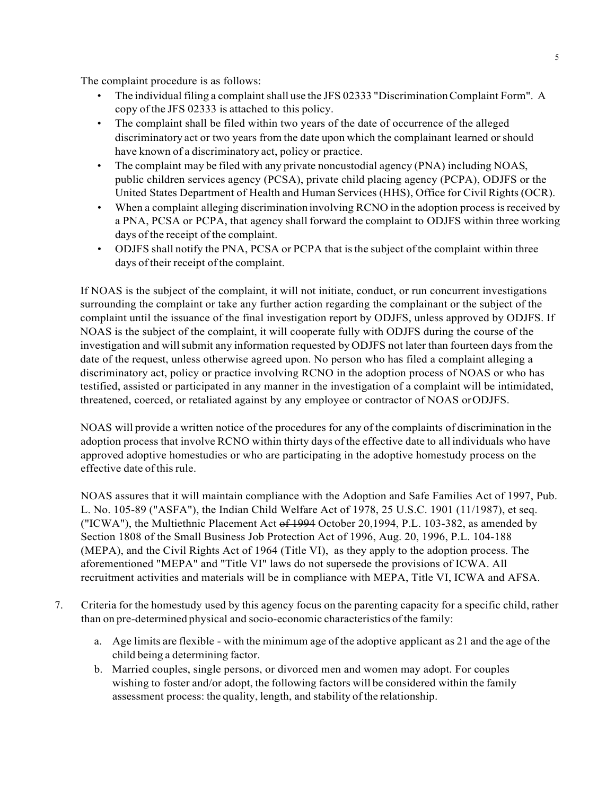The complaint procedure is as follows:

- The individual filing a complaint shall use the JFS 02333 "Discrimination Complaint Form". A copy of the JFS 02333 is attached to this policy.
- The complaint shall be filed within two years of the date of occurrence of the alleged discriminatory act or two years from the date upon which the complainant learned or should have known of a discriminatory act, policy or practice.
- The complaint may be filed with any private noncustodial agency (PNA) including NOAS, public children services agency (PCSA), private child placing agency (PCPA), ODJFS or the United States Department of Health and Human Services (HHS), Office for Civil Rights (OCR).
- When a complaint alleging discrimination involving RCNO in the adoption process is received by a PNA, PCSA or PCPA, that agency shall forward the complaint to ODJFS within three working days of the receipt of the complaint.
- ODJFS shall notify the PNA, PCSA or PCPA that isthe subject of the complaint within three days of their receipt of the complaint.

If NOAS is the subject of the complaint, it will not initiate, conduct, or run concurrent investigations surrounding the complaint or take any further action regarding the complainant or the subject of the complaint until the issuance of the final investigation report by ODJFS, unless approved by ODJFS. If NOAS is the subject of the complaint, it will cooperate fully with ODJFS during the course of the investigation and will submit any information requested by ODJFS not later than fourteen days from the date of the request, unless otherwise agreed upon. No person who has filed a complaint alleging a discriminatory act, policy or practice involving RCNO in the adoption process of NOAS or who has testified, assisted or participated in any manner in the investigation of a complaint will be intimidated, threatened, coerced, or retaliated against by any employee or contractor of NOAS orODJFS.

NOAS will provide a written notice of the procedures for any of the complaints of discrimination in the adoption process that involve RCNO within thirty days of the effective date to all individuals who have approved adoptive homestudies or who are participating in the adoptive homestudy process on the effective date ofthis rule.

NOAS assures that it will maintain compliance with the Adoption and Safe Families Act of 1997, Pub. L. No. 105-89 ("ASFA"), the Indian Child Welfare Act of 1978, 25 U.S.C. 1901 (11/1987), et seq. ("ICWA"), the Multiethnic Placement Act of 1994 October 20,1994, P.L. 103-382, as amended by Section 1808 of the Small Business Job Protection Act of 1996, Aug. 20, 1996, P.L. 104-188 (MEPA), and the Civil Rights Act of 1964 (Title VI), as they apply to the adoption process. The aforementioned "MEPA" and "Title VI" laws do not supersede the provisions of ICWA. All recruitment activities and materials will be in compliance with MEPA, Title VI, ICWA and AFSA.

- 7. Criteria for the homestudy used by this agency focus on the parenting capacity for a specific child, rather than on pre-determined physical and socio-economic characteristics of the family:
	- a. Age limits are flexible with the minimum age of the adoptive applicant as 21 and the age of the child being a determining factor.
	- b. Married couples, single persons, or divorced men and women may adopt. For couples wishing to foster and/or adopt, the following factors will be considered within the family assessment process: the quality, length, and stability of the relationship.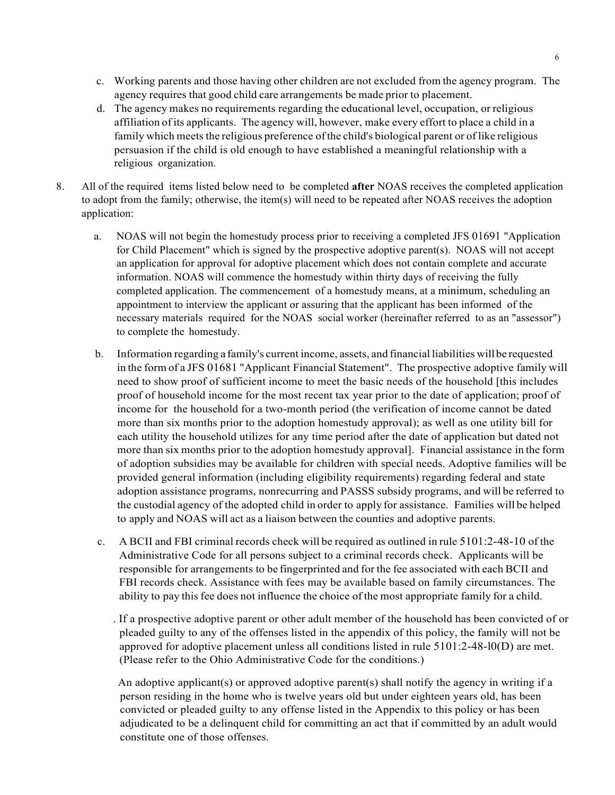- c. Working parents and those having other children are not excluded from the agency program. The agency requires that good child care arrangements be made prior to placement.
- d. The agency makes no requirements regarding the educational level, occupation, or religious affiliation ofits applicants. The agency will, however, make every effort to place a child in a family which meets the religious preference ofthe child's biological parent or of like religious persuasion if the child is old enough to have established a meaningful relationship with a religious organization.
- 8. All of the required items listed below need to be completed **after** NOAS receives the completed application to adopt from the family; otherwise, the item(s) will need to be repeated after NOAS receives the adoption application:
	- a. NOAS will not begin the homestudy process prior to receiving a completed JFS 01691 "Application for Child Placement" which is signed by the prospective adoptive parent(s). NOAS will not accept an application for approval for adoptive placement which does not contain complete and accurate information. NOAS will commence the homestudy within thirty days of receiving the fully completed application. The commencement of a homestudy means, at a minimum, scheduling an appointment to interview the applicant or assuring that the applicant has been informed of the necessary materials required for the NOAS social worker (hereinafter referred to as an "assessor") to complete the homestudy.
	- b. Information regarding a family's current income, assets, and financial liabilities willbe requested in the form of a JFS 01681 "Applicant Financial Statement". The prospective adoptive family will need to show proof of sufficient income to meet the basic needs of the household [this includes proof of household income for the most recent tax year prior to the date of application; proof of income for the household for a two-month period (the verification of income cannot be dated more than six months prior to the adoption homestudy approval); as well as one utility bill for each utility the household utilizes for any time period after the date of application but dated not more than six months prior to the adoption homestudy approval]. Financial assistance in the form of adoption subsidies may be available for children with special needs. Adoptive families will be provided general information (including eligibility requirements) regarding federal and state adoption assistance programs, nonrecurring and PASSS subsidy programs, and will be referred to the custodial agency of the adopted child in order to apply for assistance. Families will be helped to apply and NOAS will act as a liaison between the counties and adoptive parents.
	- c. A BCII and FBI criminal records check will be required as outlined in rule 5101:2-48-10 of the Administrative Code for all persons subject to a criminal records check. Applicants will be responsible for arrangements to be fingerprinted and for the fee associated with each BCII and FBI records check. Assistance with fees may be available based on family circumstances. The ability to pay this fee does not influence the choice of the most appropriate family for a child.
		- . If a prospective adoptive parent or other adult member of the household has been convicted of or pleaded guilty to any of the offenses listed in the appendix of this policy, the family will not be approved for adoptive placement unless all conditions listed in rule  $5101:2-48-10(D)$  are met. (Please refer to the Ohio Administrative Code for the conditions.)

An adoptive applicant(s) or approved adoptive parent(s) shall notify the agency in writing if a person residing in the home who is twelve years old but under eighteen years old, has been convicted or pleaded guilty to any offense listed in the Appendix to this policy or has been adjudicated to be a delinquent child for committing an act that if committed by an adult would constitute one of those offenses.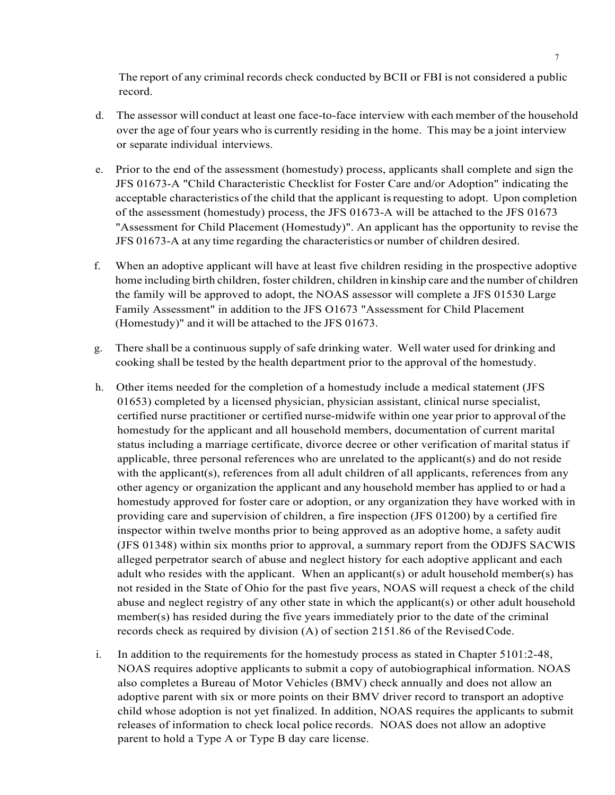The report of any criminal records check conducted by BCII or FBI is not considered a public record.

- d. The assessor will conduct at least one face-to-face interview with each member of the household over the age of four years who is currently residing in the home. This may be a joint interview or separate individual interviews.
- e. Prior to the end of the assessment (homestudy) process, applicants shall complete and sign the JFS 01673-A "Child Characteristic Checklist for Foster Care and/or Adoption" indicating the acceptable characteristics of the child that the applicant isrequesting to adopt. Upon completion of the assessment (homestudy) process, the JFS 01673-A will be attached to the JFS 01673 "Assessment for Child Placement (Homestudy)". An applicant has the opportunity to revise the JFS 01673-A at any time regarding the characteristics or number of children desired.
- f. When an adoptive applicant will have at least five children residing in the prospective adoptive home including birth children, foster children, children in kinship care and the number of children the family will be approved to adopt, the NOAS assessor will complete a JFS 01530 Large Family Assessment" in addition to the JFS O1673 "Assessment for Child Placement (Homestudy)" and it will be attached to the JFS 01673.
- g. There shall be a continuous supply of safe drinking water. Well water used for drinking and cooking shall be tested by the health department prior to the approval of the homestudy.
- h. Other items needed for the completion of a homestudy include a medical statement (JFS 01653) completed by a licensed physician, physician assistant, clinical nurse specialist, certified nurse practitioner or certified nurse-midwife within one year prior to approval of the homestudy for the applicant and all household members, documentation of current marital status including a marriage certificate, divorce decree or other verification of marital status if applicable, three personal references who are unrelated to the applicant(s) and do not reside with the applicant(s), references from all adult children of all applicants, references from any other agency or organization the applicant and any household member has applied to or had a homestudy approved for foster care or adoption, or any organization they have worked with in providing care and supervision of children, a fire inspection (JFS 01200) by a certified fire inspector within twelve months prior to being approved as an adoptive home, a safety audit (JFS 01348) within six months prior to approval, a summary report from the ODJFS SACWIS alleged perpetrator search of abuse and neglect history for each adoptive applicant and each adult who resides with the applicant. When an applicant(s) or adult household member(s) has not resided in the State of Ohio for the past five years, NOAS will request a check of the child abuse and neglect registry of any other state in which the applicant(s) or other adult household member(s) has resided during the five years immediately prior to the date of the criminal records check as required by division (A) of section 2151.86 of the RevisedCode.
- i. In addition to the requirements for the homestudy process as stated in Chapter 5101:2-48, NOAS requires adoptive applicants to submit a copy of autobiographical information. NOAS also completes a Bureau of Motor Vehicles (BMV) check annually and does not allow an adoptive parent with six or more points on their BMV driver record to transport an adoptive child whose adoption is not yet finalized. In addition, NOAS requires the applicants to submit releases of information to check local police records. NOAS does not allow an adoptive parent to hold a Type A or Type B day care license.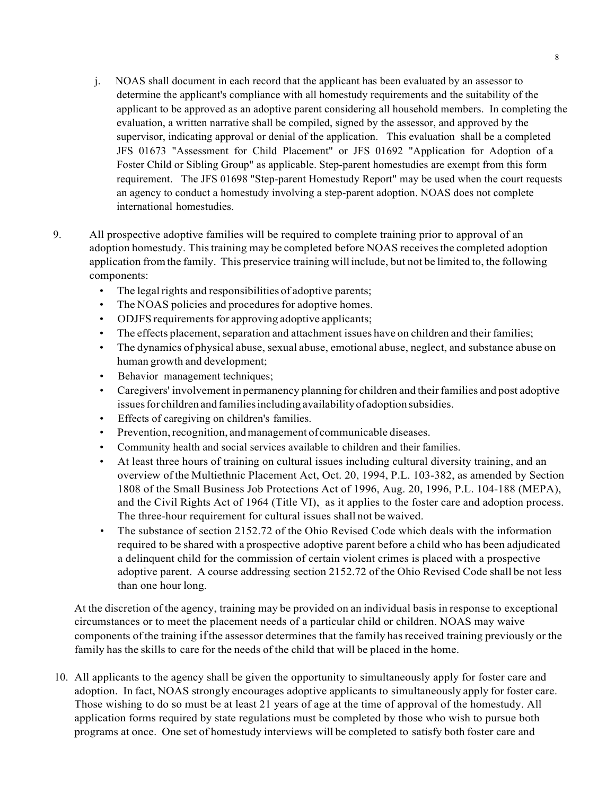- j. NOAS shall document in each record that the applicant has been evaluated by an assessor to determine the applicant's compliance with all homestudy requirements and the suitability of the applicant to be approved as an adoptive parent considering all household members. In completing the evaluation, a written narrative shall be compiled, signed by the assessor, and approved by the supervisor, indicating approval or denial of the application. This evaluation shall be a completed JFS 01673 "Assessment for Child Placement" or JFS 01692 "Application for Adoption of a Foster Child or Sibling Group" as applicable. Step-parent homestudies are exempt from this form requirement. The JFS 01698 "Step-parent Homestudy Report" may be used when the court requests an agency to conduct a homestudy involving a step-parent adoption. NOAS does not complete international homestudies.
- 9. All prospective adoptive families will be required to complete training prior to approval of an adoption homestudy. Thistraining may be completed before NOAS receivesthe completed adoption application fromthe family. This preservice training will include, but not be limited to, the following components:
	- The legal rights and responsibilities of adoptive parents;
	- The NOAS policies and procedures for adoptive homes.
	- ODJFS requirements for approving adoptive applicants;
	- The effects placement, separation and attachment issues have on children and their families;
	- The dynamics of physical abuse, sexual abuse, emotional abuse, neglect, and substance abuse on human growth and development;
	- Behavior management techniques;
	- Caregivers' involvement in permanency planning for children and their families and post adoptive issues for children and families including availability of adoption subsidies.
	- Effects of caregiving on children's families.
	- Prevention, recognition, and management of communicable diseases.
	- Community health and social services available to children and their families.
	- At least three hours of training on cultural issues including cultural diversity training, and an overview of the Multiethnic Placement Act, Oct. 20, 1994, P.L. 103-382, as amended by Section 1808 of the Small Business Job Protections Act of 1996, Aug. 20, 1996, P.L. 104-188 (MEPA), and the Civil Rights Act of 1964 (Title VI), as it applies to the foster care and adoption process. The three-hour requirement for cultural issues shall not be waived.
	- The substance of section 2152.72 of the Ohio Revised Code which deals with the information required to be shared with a prospective adoptive parent before a child who has been adjudicated a delinquent child for the commission of certain violent crimes is placed with a prospective adoptive parent. A course addressing section 2152.72 of the Ohio Revised Code shall be not less than one hour long.

At the discretion of the agency, training may be provided on an individual basis in response to exceptional circumstances or to meet the placement needs of a particular child or children. NOAS may waive components of the training ifthe assessor determines that the family hasreceived training previously or the family has the skills to care for the needs of the child that will be placed in the home.

10. All applicants to the agency shall be given the opportunity to simultaneously apply for foster care and adoption. In fact, NOAS strongly encourages adoptive applicants to simultaneously apply for foster care. Those wishing to do so must be at least 21 years of age at the time of approval of the homestudy. All application forms required by state regulations must be completed by those who wish to pursue both programs at once. One set of homestudy interviews will be completed to satisfy both foster care and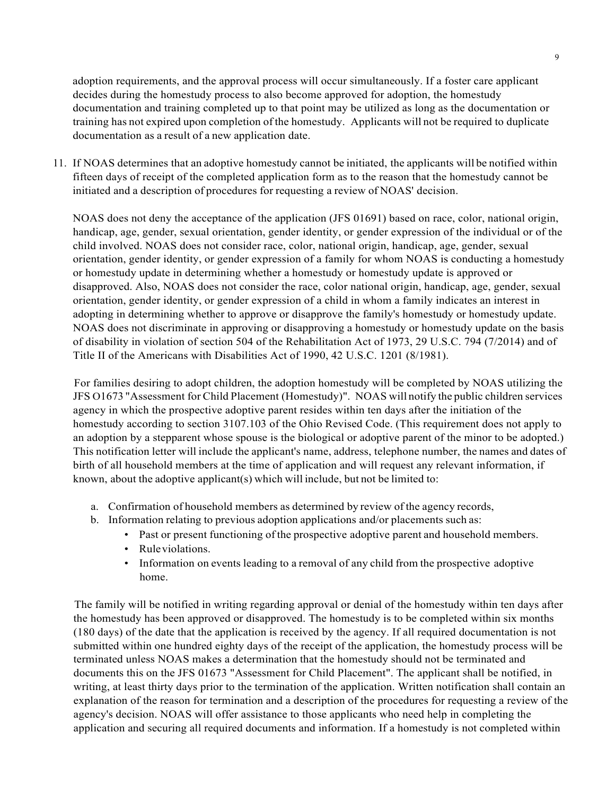adoption requirements, and the approval process will occur simultaneously. If a foster care applicant decides during the homestudy process to also become approved for adoption, the homestudy documentation and training completed up to that point may be utilized as long as the documentation or training has not expired upon completion of the homestudy. Applicants will not be required to duplicate documentation as a result of a new application date.

11. If NOAS determines that an adoptive homestudy cannot be initiated, the applicants will be notified within fifteen days of receipt of the completed application form as to the reason that the homestudy cannot be initiated and a description of procedures for requesting a review of NOAS' decision.

NOAS does not deny the acceptance of the application (JFS 01691) based on race, color, national origin, handicap, age, gender, sexual orientation, gender identity, or gender expression of the individual or of the child involved. NOAS does not consider race, color, national origin, handicap, age, gender, sexual orientation, gender identity, or gender expression of a family for whom NOAS is conducting a homestudy or homestudy update in determining whether a homestudy or homestudy update is approved or disapproved. Also, NOAS does not consider the race, color national origin, handicap, age, gender, sexual orientation, gender identity, or gender expression of a child in whom a family indicates an interest in adopting in determining whether to approve or disapprove the family's homestudy or homestudy update. NOAS does not discriminate in approving or disapproving a homestudy or homestudy update on the basis of disability in violation of section 504 of the Rehabilitation Act of 1973, 29 U.S.C. 794 (7/2014) and of Title II of the Americans with Disabilities Act of 1990, 42 U.S.C. 1201 (8/1981).

For families desiring to adopt children, the adoption homestudy will be completed by NOAS utilizing the JFS O1673 "Assessment for Child Placement (Homestudy)". NOAS will notify the public children services agency in which the prospective adoptive parent resides within ten days after the initiation of the homestudy according to section 3107.103 of the Ohio Revised Code. (This requirement does not apply to an adoption by a stepparent whose spouse is the biological or adoptive parent of the minor to be adopted.) This notification letter will include the applicant's name, address, telephone number, the names and dates of birth of all household members at the time of application and will request any relevant information, if known, about the adoptive applicant(s) which will include, but not be limited to:

- a. Confirmation of household members as determined by review of the agency records,
- b. Information relating to previous adoption applications and/or placements such as:
	- Past or present functioning of the prospective adoptive parent and household members.
	- Ruleviolations.
	- Information on events leading to a removal of any child from the prospective adoptive home.

The family will be notified in writing regarding approval or denial of the homestudy within ten days after the homestudy has been approved or disapproved. The homestudy is to be completed within six months (180 days) of the date that the application is received by the agency. If all required documentation is not submitted within one hundred eighty days of the receipt of the application, the homestudy process will be terminated unless NOAS makes a determination that the homestudy should not be terminated and documents this on the JFS 01673 "Assessment for Child Placement". The applicant shall be notified, in writing, at least thirty days prior to the termination of the application. Written notification shall contain an explanation of the reason for termination and a description of the procedures for requesting a review of the agency's decision. NOAS will offer assistance to those applicants who need help in completing the application and securing all required documents and information. If a homestudy is not completed within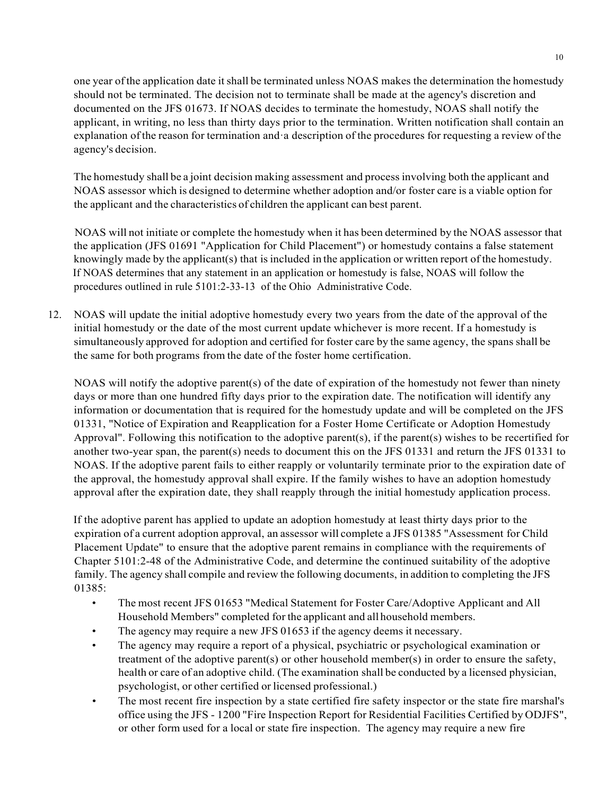one year ofthe application date it shall be terminated unless NOAS makes the determination the homestudy should not be terminated. The decision not to terminate shall be made at the agency's discretion and documented on the JFS 01673. If NOAS decides to terminate the homestudy, NOAS shall notify the applicant, in writing, no less than thirty days prior to the termination. Written notification shall contain an explanation of the reason for termination and·a description of the procedures for requesting a review of the agency's decision.

The homestudy shall be a joint decision making assessment and processinvolving both the applicant and NOAS assessor which is designed to determine whether adoption and/or foster care is a viable option for the applicant and the characteristics of children the applicant can best parent.

NOAS will not initiate or complete the homestudy when it has been determined by the NOAS assessor that the application (JFS 01691 "Application for Child Placement") or homestudy contains a false statement knowingly made by the applicant(s) that is included in the application or written report of the homestudy. If NOAS determines that any statement in an application or homestudy is false, NOAS will follow the procedures outlined in rule 5101:2-33-13 of the Ohio Administrative Code.

12. NOAS will update the initial adoptive homestudy every two years from the date of the approval of the initial homestudy or the date of the most current update whichever is more recent. If a homestudy is simultaneously approved for adoption and certified for foster care by the same agency, the spans shall be the same for both programs from the date of the foster home certification.

NOAS will notify the adoptive parent(s) of the date of expiration of the homestudy not fewer than ninety days or more than one hundred fifty days prior to the expiration date. The notification will identify any information or documentation that is required for the homestudy update and will be completed on the JFS 01331, "Notice of Expiration and Reapplication for a Foster Home Certificate or Adoption Homestudy Approval". Following this notification to the adoptive parent(s), if the parent(s) wishes to be recertified for another two-year span, the parent(s) needs to document this on the JFS 01331 and return the JFS 01331 to NOAS. If the adoptive parent fails to either reapply or voluntarily terminate prior to the expiration date of the approval, the homestudy approval shall expire. If the family wishes to have an adoption homestudy approval after the expiration date, they shall reapply through the initial homestudy application process.

If the adoptive parent has applied to update an adoption homestudy at least thirty days prior to the expiration of a current adoption approval, an assessor will complete a JFS 01385 "Assessment for Child Placement Update" to ensure that the adoptive parent remains in compliance with the requirements of Chapter 5101:2-48 of the Administrative Code, and determine the continued suitability of the adoptive family. The agency shall compile and review the following documents, in addition to completing the JFS 01385:

- The most recent JFS 01653 "Medical Statement for Foster Care/Adoptive Applicant and All Household Members" completed for the applicant and all household members.
- The agency may require a new JFS 01653 if the agency deems it necessary.
- The agency may require a report of a physical, psychiatric or psychological examination or treatment of the adoptive parent(s) or other household member(s) in order to ensure the safety, health or care of an adoptive child. (The examination shall be conducted by a licensed physician, psychologist, or other certified or licensed professional.)
- The most recent fire inspection by a state certified fire safety inspector or the state fire marshal's office using the JFS - 1200 "Fire Inspection Report for Residential Facilities Certified by ODJFS", or other form used for a local or state fire inspection. The agency may require a new fire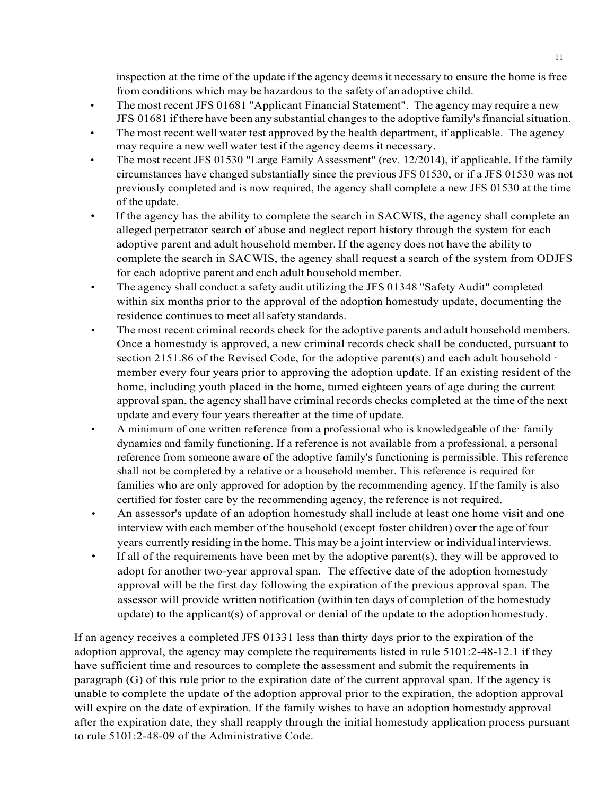inspection at the time of the update if the agency deems it necessary to ensure the home is free from conditions which may be hazardous to the safety of an adoptive child.

- The most recent JFS 01681 "Applicant Financial Statement". The agency may require a new JFS 01681 ifthere have been any substantial changesto the adoptive family'sfinancialsituation.
- The most recent well water test approved by the health department, if applicable. The agency may require a new well water test if the agency deems it necessary.
- The most recent JFS 01530 "Large Family Assessment" (rev. 12/2014), if applicable. If the family circumstances have changed substantially since the previous JFS 01530, or if a JFS 01530 was not previously completed and is now required, the agency shall complete a new JFS 01530 at the time of the update.
- If the agency has the ability to complete the search in SACWIS, the agency shall complete an alleged perpetrator search of abuse and neglect report history through the system for each adoptive parent and adult household member. If the agency does not have the ability to complete the search in SACWIS, the agency shall request a search of the system from ODJFS for each adoptive parent and each adult household member.
- The agency shall conduct a safety audit utilizing the JFS 01348 "Safety Audit" completed within six months prior to the approval of the adoption homestudy update, documenting the residence continues to meet allsafety standards.
- The most recent criminal records check for the adoptive parents and adult household members. Once a homestudy is approved, a new criminal records check shall be conducted, pursuant to section 2151.86 of the Revised Code, for the adoptive parent(s) and each adult household · member every four years prior to approving the adoption update. If an existing resident of the home, including youth placed in the home, turned eighteen years of age during the current approval span, the agency shall have criminal records checks completed at the time of the next update and every four years thereafter at the time of update.
- A minimum of one written reference from a professional who is knowledgeable of the· family dynamics and family functioning. If a reference is not available from a professional, a personal reference from someone aware of the adoptive family's functioning is permissible. This reference shall not be completed by a relative or a household member. This reference is required for families who are only approved for adoption by the recommending agency. If the family is also certified for foster care by the recommending agency, the reference is not required.
- An assessor's update of an adoption homestudy shall include at least one home visit and one interview with each member of the household (except foster children) over the age of four years currently residing in the home. This may be a joint interview or individual interviews.
- If all of the requirements have been met by the adoptive parent(s), they will be approved to adopt for another two-year approval span. The effective date of the adoption homestudy approval will be the first day following the expiration of the previous approval span. The assessor will provide written notification (within ten days of completion of the homestudy update) to the applicant(s) of approval or denial of the update to the adoption homestudy.

If an agency receives a completed JFS 01331 less than thirty days prior to the expiration of the adoption approval, the agency may complete the requirements listed in rule 5101:2-48-12.1 if they have sufficient time and resources to complete the assessment and submit the requirements in paragraph (G) of this rule prior to the expiration date of the current approval span. If the agency is unable to complete the update of the adoption approval prior to the expiration, the adoption approval will expire on the date of expiration. If the family wishes to have an adoption homestudy approval after the expiration date, they shall reapply through the initial homestudy application process pursuant to rule 5101:2-48-09 of the Administrative Code.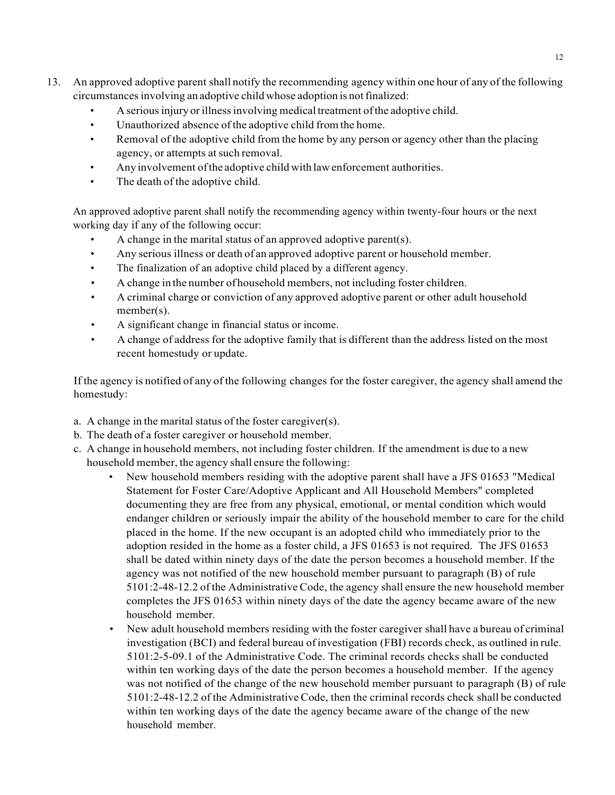- 13. An approved adoptive parent shall notify the recommending agency within one hour of any of the following circumstances involving an adoptive child whose adoption is not finalized:
	- A serious injury or illness involving medical treatment of the adoptive child.
	- Unauthorized absence ofthe adoptive child fromthe home.
	- Removal of the adoptive child from the home by any person or agency other than the placing agency, or attempts at such removal.
	- Any involvement ofthe adoptive child with lawenforcement authorities.
	- The death of the adoptive child.

An approved adoptive parent shall notify the recommending agency within twenty-four hours or the next working day if any of the following occur:

- A change in the marital status of an approved adoptive parent(s).
- Any serious illness or death of an approved adoptive parent or household member.
- The finalization of an adoptive child placed by a different agency.
- A change in the number of household members, not including foster children.
- A criminal charge or conviction of any approved adoptive parent or other adult household member(s).
- A significant change in financial status or income.
- A change of address for the adoptive family that is different than the address listed on the most recent homestudy or update.

If the agency is notified of any of the following changes for the foster caregiver, the agency shall amend the homestudy:

- a. A change in the marital status of the foster caregiver(s).
- b. The death of a foster caregiver or household member.
- c. A change in household members, not including foster children. If the amendment is due to a new household member, the agency shall ensure the following:
	- New household members residing with the adoptive parent shall have a JFS 01653 "Medical Statement for Foster Care/Adoptive Applicant and All Household Members" completed documenting they are free from any physical, emotional, or mental condition which would endanger children or seriously impair the ability of the household member to care for the child placed in the home. If the new occupant is an adopted child who immediately prior to the adoption resided in the home as a foster child, a JFS 01653 is not required. The JFS 01653 shall be dated within ninety days of the date the person becomes a household member. If the agency was not notified of the new household member pursuant to paragraph (B) of rule 5101:2-48-12.2 of the Administrative Code, the agency shall ensure the new household member completes the JFS 01653 within ninety days of the date the agency became aware of the new household member.
	- New adult household members residing with the foster caregiver shall have a bureau of criminal investigation (BCI) and federal bureau of investigation (FBI) records check, as outlined in rule. 5101:2-5-09.1 of the Administrative Code. The criminal records checks shall be conducted within ten working days of the date the person becomes a household member. If the agency was not notified of the change of the new household member pursuant to paragraph (B) of rule 5101:2-48-12.2 of the Administrative Code, then the criminal records check shall be conducted within ten working days of the date the agency became aware of the change of the new household member.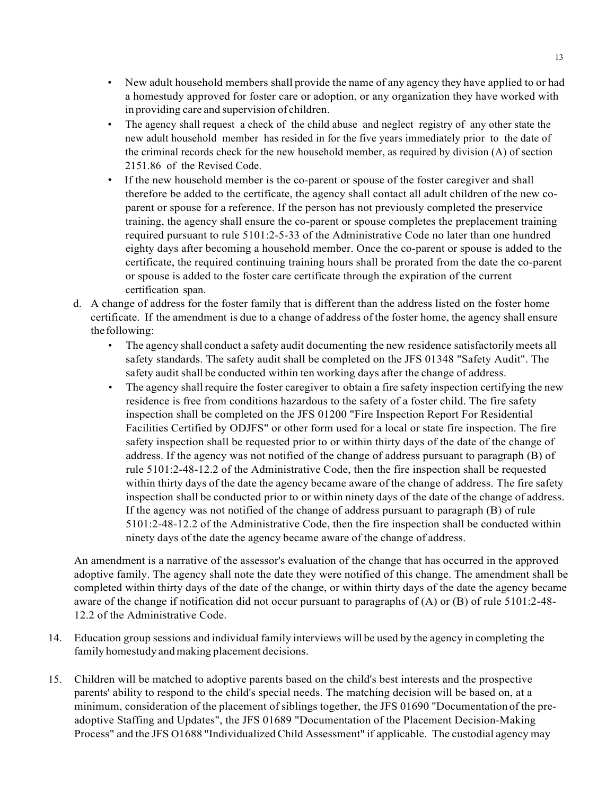- New adult household members shall provide the name of any agency they have applied to or had a homestudy approved for foster care or adoption, or any organization they have worked with in providing care and supervision of children.
- The agency shall request a check of the child abuse and neglect registry of any other state the new adult household member has resided in for the five years immediately prior to the date of the criminal records check for the new household member, as required by division (A) of section 2151.86 of the Revised Code.
- If the new household member is the co-parent or spouse of the foster caregiver and shall therefore be added to the certificate, the agency shall contact all adult children of the new coparent or spouse for a reference. If the person has not previously completed the preservice training, the agency shall ensure the co-parent or spouse completes the preplacement training required pursuant to rule 5101:2-5-33 of the Administrative Code no later than one hundred eighty days after becoming a household member. Once the co-parent or spouse is added to the certificate, the required continuing training hours shall be prorated from the date the co-parent or spouse is added to the foster care certificate through the expiration of the current certification span.
- d. A change of address for the foster family that is different than the address listed on the foster home certificate. If the amendment is due to a change of address of the foster home, the agency shall ensure thefollowing:
	- The agency shall conduct a safety audit documenting the new residence satisfactorily meets all safety standards. The safety audit shall be completed on the JFS 01348 "Safety Audit". The safety audit shall be conducted within ten working days after the change of address.
	- The agency shall require the foster caregiver to obtain a fire safety inspection certifying the new residence is free from conditions hazardous to the safety of a foster child. The fire safety inspection shall be completed on the JFS 01200 "Fire Inspection Report For Residential Facilities Certified by ODJFS" or other form used for a local or state fire inspection. The fire safety inspection shall be requested prior to or within thirty days of the date of the change of address. If the agency was not notified of the change of address pursuant to paragraph (B) of rule 5101:2-48-12.2 of the Administrative Code, then the fire inspection shall be requested within thirty days of the date the agency became aware of the change of address. The fire safety inspection shall be conducted prior to or within ninety days of the date of the change of address. If the agency was not notified of the change of address pursuant to paragraph (B) of rule 5101:2-48-12.2 of the Administrative Code, then the fire inspection shall be conducted within ninety days of the date the agency became aware of the change of address.

An amendment is a narrative of the assessor's evaluation of the change that has occurred in the approved adoptive family. The agency shall note the date they were notified of this change. The amendment shall be completed within thirty days of the date of the change, or within thirty days of the date the agency became aware of the change if notification did not occur pursuant to paragraphs of (A) or (B) of rule 5101:2-48- 12.2 of the Administrative Code.

- 14. Education group sessions and individual family interviews will be used by the agency in completing the family homestudy and making placement decisions.
- 15. Children will be matched to adoptive parents based on the child's best interests and the prospective parents' ability to respond to the child's special needs. The matching decision will be based on, at a minimum, consideration of the placement of siblings together, the JFS 01690 "Documentation of the preadoptive Staffing and Updates", the JFS 01689 "Documentation of the Placement Decision-Making Process" and the JFS O1688 "IndividualizedChild Assessment" if applicable. The custodial agency may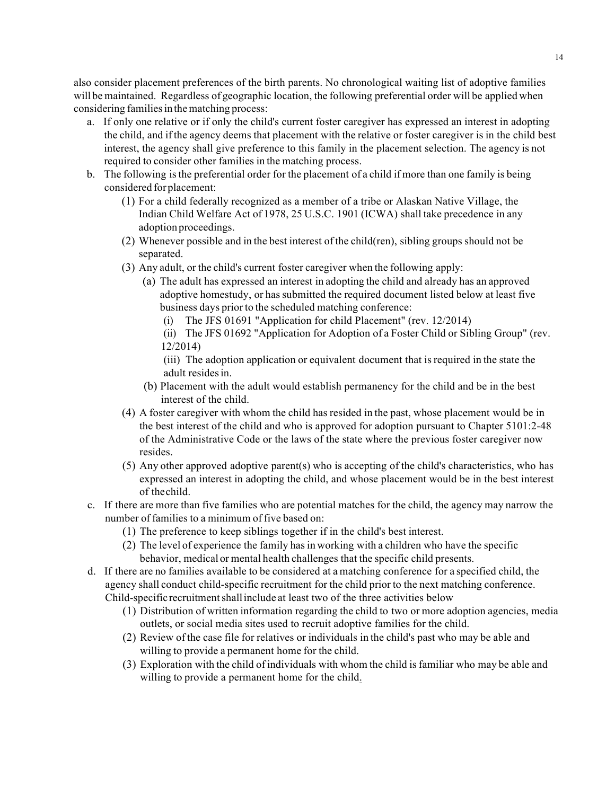also consider placement preferences of the birth parents. No chronological waiting list of adoptive families will be maintained. Regardless of geographic location, the following preferential order will be applied when considering families in the matching process:

- a. If only one relative or if only the child's current foster caregiver has expressed an interest in adopting the child, and if the agency deems that placement with the relative or foster caregiver is in the child best interest, the agency shall give preference to this family in the placement selection. The agency is not required to consider other families in the matching process.
- b. The following isthe preferential order for the placement of a child if more than one family is being considered forplacement:
	- (1) For a child federally recognized as a member of a tribe or Alaskan Native Village, the Indian Child Welfare Act of 1978, 25 U.S.C. 1901 (ICWA) shall take precedence in any adoption proceedings.
	- (2) Whenever possible and in the best interest of the child(ren), sibling groups should not be separated.
	- (3) Any adult, or the child's current foster caregiver when the following apply:
		- (a) The adult has expressed an interest in adopting the child and already has an approved adoptive homestudy, or has submitted the required document listed below at least five business days prior to the scheduled matching conference:
			- (i) The JFS 01691 "Application for child Placement" (rev. 12/2014)
			- (ii) The JFS 01692 "Application for Adoption of a Foster Child or Sibling Group" (rev. 12/2014)

(iii) The adoption application or equivalent document that is required in the state the adult residesin.

- (b) Placement with the adult would establish permanency for the child and be in the best interest of the child.
- (4) A foster caregiver with whom the child has resided in the past, whose placement would be in the best interest of the child and who is approved for adoption pursuant to Chapter 5101:2-48 of the Administrative Code or the laws of the state where the previous foster caregiver now resides.
- (5) Any other approved adoptive parent(s) who is accepting of the child's characteristics, who has expressed an interest in adopting the child, and whose placement would be in the best interest of thechild.
- c. If there are more than five families who are potential matches for the child, the agency may narrow the number of families to a minimum of five based on:
	- (1) The preference to keep siblings together if in the child's best interest.
	- (2) The level of experience the family hasin working with a children who have the specific behavior, medical or mental health challenges that the specific child presents.
- d. If there are no families available to be considered at a matching conference for a specified child, the agency shall conduct child-specific recruitment for the child prior to the next matching conference. Child-specific recruitment shall include at least two of the three activities below
	- (1) Distribution of written information regarding the child to two or more adoption agencies, media outlets, or social media sites used to recruit adoptive families for the child.
	- (2) Review of the case file for relatives or individuals in the child's past who may be able and willing to provide a permanent home for the child.
	- (3) Exploration with the child ofindividuals with whom the child isfamiliar who may be able and willing to provide a permanent home for the child.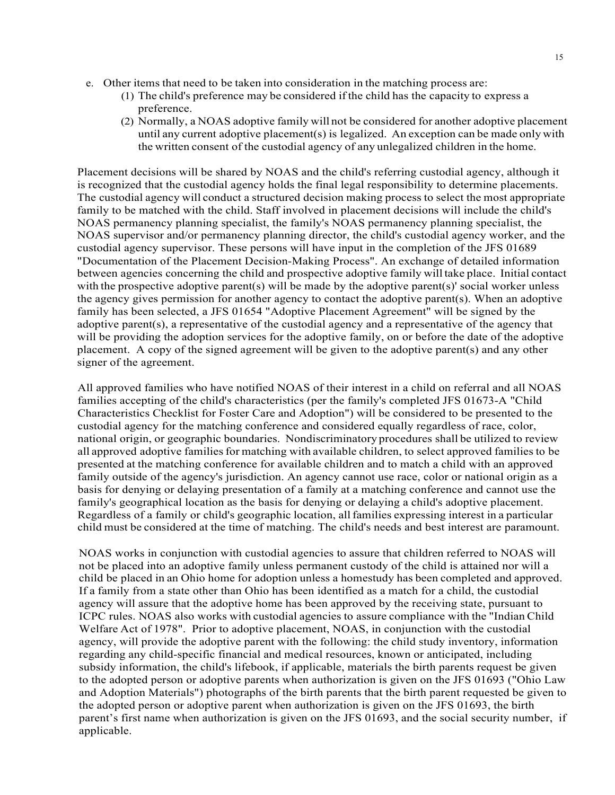- e. Other items that need to be taken into consideration in the matching process are:
	- (1) The child's preference may be considered if the child has the capacity to express a preference.
	- (2) Normally, a NOAS adoptive family will not be considered for another adoptive placement until any current adoptive placement(s) is legalized. An exception can be made only with the written consent of the custodial agency of any unlegalized children in the home.

Placement decisions will be shared by NOAS and the child's referring custodial agency, although it is recognized that the custodial agency holds the final legal responsibility to determine placements. The custodial agency will conduct a structured decision making process to select the most appropriate family to be matched with the child. Staff involved in placement decisions will include the child's NOAS permanency planning specialist, the family's NOAS permanency planning specialist, the NOAS supervisor and/or permanency planning director, the child's custodial agency worker, and the custodial agency supervisor. These persons will have input in the completion of the JFS 01689 "Documentation of the Placement Decision-Making Process". An exchange of detailed information between agencies concerning the child and prospective adoptive family will take place. Initial contact with the prospective adoptive parent(s) will be made by the adoptive parent(s)' social worker unless the agency gives permission for another agency to contact the adoptive parent(s). When an adoptive family has been selected, a JFS 01654 "Adoptive Placement Agreement" will be signed by the adoptive parent(s), a representative of the custodial agency and a representative of the agency that will be providing the adoption services for the adoptive family, on or before the date of the adoptive placement. A copy of the signed agreement will be given to the adoptive parent(s) and any other signer of the agreement.

All approved families who have notified NOAS of their interest in a child on referral and all NOAS families accepting of the child's characteristics (per the family's completed JFS 01673-A "Child Characteristics Checklist for Foster Care and Adoption") will be considered to be presented to the custodial agency for the matching conference and considered equally regardless of race, color, national origin, or geographic boundaries. Nondiscriminatory procedures shall be utilized to review all approved adoptive families for matching with available children, to select approved families to be presented at the matching conference for available children and to match a child with an approved family outside of the agency's jurisdiction. An agency cannot use race, color or national origin as a basis for denying or delaying presentation of a family at a matching conference and cannot use the family's geographical location as the basis for denying or delaying a child's adoptive placement. Regardless of a family or child's geographic location, allfamilies expressing interest in a particular child must be considered at the time of matching. The child's needs and best interest are paramount.

NOAS works in conjunction with custodial agencies to assure that children referred to NOAS will not be placed into an adoptive family unless permanent custody of the child is attained nor will a child be placed in an Ohio home for adoption unless a homestudy has been completed and approved. If a family from a state other than Ohio has been identified as a match for a child, the custodial agency will assure that the adoptive home has been approved by the receiving state, pursuant to ICPC rules. NOAS also works with custodial agencies to assure compliance with the "Indian Child Welfare Act of 1978". Prior to adoptive placement, NOAS, in conjunction with the custodial agency, will provide the adoptive parent with the following: the child study inventory, information regarding any child-specific financial and medical resources, known or anticipated, including subsidy information, the child's lifebook, if applicable, materials the birth parents request be given to the adopted person or adoptive parents when authorization is given on the JFS 01693 ("Ohio Law and Adoption Materials") photographs of the birth parents that the birth parent requested be given to the adopted person or adoptive parent when authorization is given on the JFS 01693, the birth parent's first name when authorization is given on the JFS 01693, and the social security number, if applicable.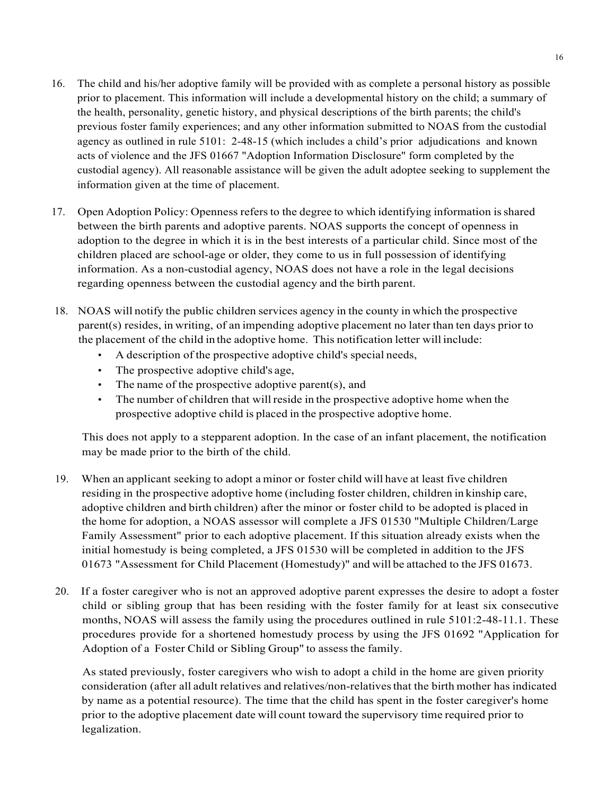- 16. The child and his/her adoptive family will be provided with as complete a personal history as possible prior to placement. This information will include a developmental history on the child; a summary of the health, personality, genetic history, and physical descriptions of the birth parents; the child's previous foster family experiences; and any other information submitted to NOAS from the custodial agency as outlined in rule 5101: 2-48-15 (which includes a child's prior adjudications and known acts of violence and the JFS 01667 "Adoption Information Disclosure" form completed by the custodial agency). All reasonable assistance will be given the adult adoptee seeking to supplement the information given at the time of placement.
- 17. Open Adoption Policy: Openness refersto the degree to which identifying information isshared between the birth parents and adoptive parents. NOAS supports the concept of openness in adoption to the degree in which it is in the best interests of a particular child. Since most of the children placed are school-age or older, they come to us in full possession of identifying information. As a non-custodial agency, NOAS does not have a role in the legal decisions regarding openness between the custodial agency and the birth parent.
- 18. NOAS will notify the public children services agency in the county in which the prospective parent(s) resides, in writing, of an impending adoptive placement no later than ten days prior to the placement of the child in the adoptive home. This notification letter will include:
	- A description of the prospective adoptive child's special needs,
	- The prospective adoptive child's age,
	- The name of the prospective adoptive parent(s), and
	- The number of children that will reside in the prospective adoptive home when the prospective adoptive child is placed in the prospective adoptive home.

This does not apply to a stepparent adoption. In the case of an infant placement, the notification may be made prior to the birth of the child.

- 19. When an applicant seeking to adopt a minor or foster child will have at least five children residing in the prospective adoptive home (including foster children, children in kinship care, adoptive children and birth children) after the minor or foster child to be adopted is placed in the home for adoption, a NOAS assessor will complete a JFS 01530 "Multiple Children/Large Family Assessment" prior to each adoptive placement. If this situation already exists when the initial homestudy is being completed, a JFS 01530 will be completed in addition to the JFS 01673 "Assessment for Child Placement (Homestudy)" and will be attached to the JFS 01673.
- 20. If a foster caregiver who is not an approved adoptive parent expresses the desire to adopt a foster child or sibling group that has been residing with the foster family for at least six consecutive months, NOAS will assess the family using the procedures outlined in rule 5101:2-48-11.1. These procedures provide for a shortened homestudy process by using the JFS 01692 "Application for Adoption of a Foster Child or Sibling Group" to assess the family.

As stated previously, foster caregivers who wish to adopt a child in the home are given priority consideration (after all adult relatives and relatives/non-relativesthat the birth mother has indicated by name as a potential resource). The time that the child has spent in the foster caregiver's home prior to the adoptive placement date will count toward the supervisory time required prior to legalization.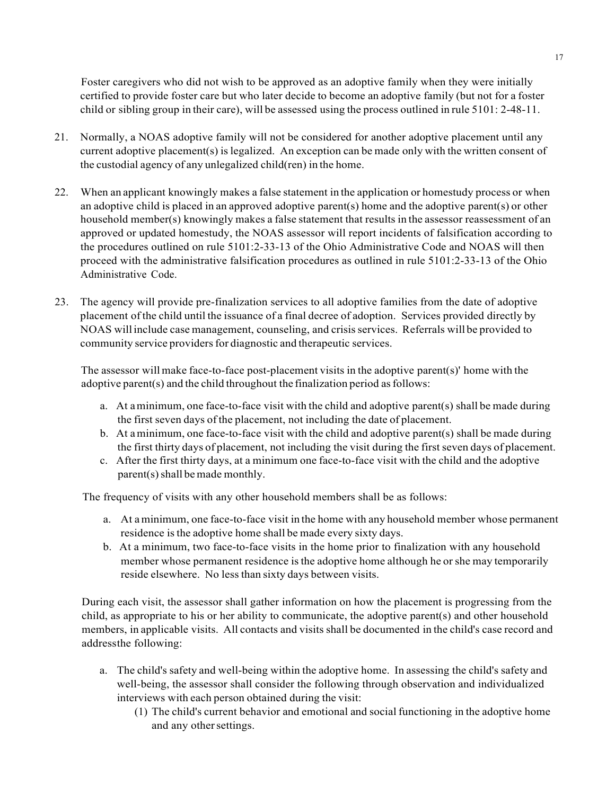Foster caregivers who did not wish to be approved as an adoptive family when they were initially certified to provide foster care but who later decide to become an adoptive family (but not for a foster child or sibling group in their care), will be assessed using the process outlined in rule 5101: 2-48-11.

- 21. Normally, a NOAS adoptive family will not be considered for another adoptive placement until any current adoptive placement(s) is legalized. An exception can be made only with the written consent of the custodial agency of any unlegalized child(ren) in the home.
- 22. When an applicant knowingly makes a false statement in the application or homestudy process or when an adoptive child is placed in an approved adoptive parent(s) home and the adoptive parent(s) or other household member(s) knowingly makes a false statement that results in the assessor reassessment of an approved or updated homestudy, the NOAS assessor will report incidents of falsification according to the procedures outlined on rule 5101:2-33-13 of the Ohio Administrative Code and NOAS will then proceed with the administrative falsification procedures as outlined in rule 5101:2-33-13 of the Ohio Administrative Code.
- 23. The agency will provide pre-finalization services to all adoptive families from the date of adoptive placement of the child until the issuance of a final decree of adoption. Services provided directly by NOAS will include case management, counseling, and crisisservices. Referrals will be provided to community service providers for diagnostic and therapeutic services.

The assessor will make face-to-face post-placement visits in the adoptive parent(s)' home with the adoptive parent(s) and the child throughout the finalization period as follows:

- a. At aminimum, one face-to-face visit with the child and adoptive parent(s) shall be made during the first seven days of the placement, not including the date of placement.
- b. At aminimum, one face-to-face visit with the child and adoptive parent(s) shall be made during the first thirty days of placement, not including the visit during the first seven days of placement.
- c. After the first thirty days, at a minimum one face-to-face visit with the child and the adoptive parent(s) shall be made monthly.

The frequency of visits with any other household members shall be as follows:

- a. At aminimum, one face-to-face visit in the home with any household member whose permanent residence is the adoptive home shall be made every sixty days.
- b. At a minimum, two face-to-face visits in the home prior to finalization with any household member whose permanent residence is the adoptive home although he or she may temporarily reside elsewhere. No less than sixty days between visits.

During each visit, the assessor shall gather information on how the placement is progressing from the child, as appropriate to his or her ability to communicate, the adoptive parent(s) and other household members, in applicable visits. All contacts and visits shall be documented in the child's case record and addressthe following:

- a. The child's safety and well-being within the adoptive home. In assessing the child's safety and well-being, the assessor shall consider the following through observation and individualized interviews with each person obtained during the visit:
	- (1) The child's current behavior and emotional and social functioning in the adoptive home and any other settings.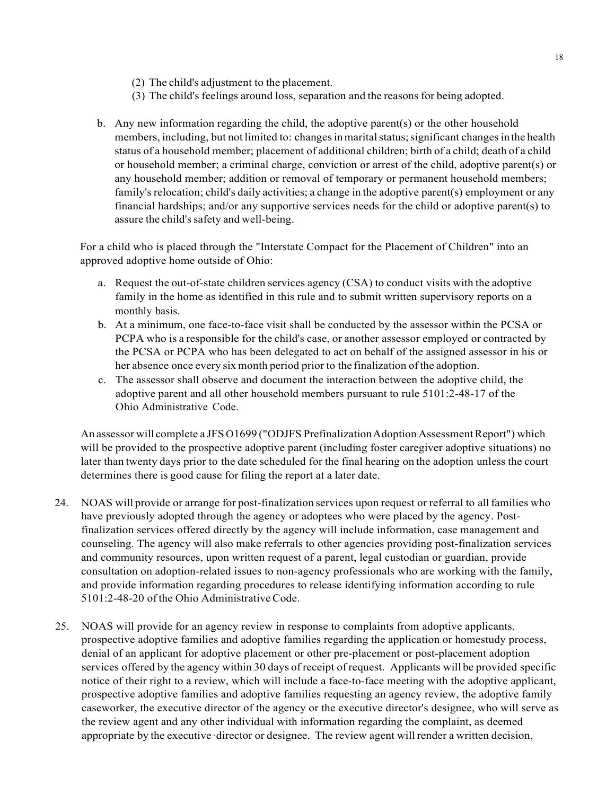- (2) The child's adjustment to the placement.
- (3) The child's feelings around loss, separation and the reasons for being adopted.
- b. Any new information regarding the child, the adoptive parent(s) or the other household members, including, but not limited to: changes in marital status; significant changes in the health status of a household member; placement of additional children; birth of a child; death of a child or household member; a criminal charge, conviction or arrest of the child, adoptive parent(s) or any household member; addition or removal of temporary or permanent household members; family's relocation; child's daily activities; a change in the adoptive parent(s) employment or any financial hardships; and/or any supportive services needs for the child or adoptive parent(s) to assure the child's safety and well-being.

For a child who is placed through the "Interstate Compact for the Placement of Children" into an approved adoptive home outside of Ohio:

- a. Request the out-of-state children services agency (CSA) to conduct visits with the adoptive family in the home as identified in this rule and to submit written supervisory reports on a monthly basis.
- b. At a minimum, one face-to-face visit shall be conducted by the assessor within the PCSA or PCPA who is a responsible for the child's case, or another assessor employed or contracted by the PCSA or PCPA who has been delegated to act on behalf of the assigned assessor in his or her absence once every six month period prior to the finalization ofthe adoption.
- c. The assessor shall observe and document the interaction between the adoptive child, the adoptive parent and all other household members pursuant to rule 5101:2-48-17 of the Ohio Administrative Code.

An assessor will complete a JFS O1699 ("ODJFS Prefinalization Adoption Assessment Report") which will be provided to the prospective adoptive parent (including foster caregiver adoptive situations) no later than twenty days prior to the date scheduled for the final hearing on the adoption unless the court determines there is good cause for filing the report at a later date.

- 24. NOAS will provide or arrange for post-finalization services upon request or referral to allfamilies who have previously adopted through the agency or adoptees who were placed by the agency. Postfinalization services offered directly by the agency will include information, case management and counseling. The agency will also make referrals to other agencies providing post-finalization services and community resources, upon written request of a parent, legal custodian or guardian, provide consultation on adoption-related issues to non-agency professionals who are working with the family, and provide information regarding procedures to release identifying information according to rule 5101:2-48-20 of the Ohio Administrative Code.
- 25. NOAS will provide for an agency review in response to complaints from adoptive applicants, prospective adoptive families and adoptive families regarding the application or homestudy process, denial of an applicant for adoptive placement or other pre-placement or post-placement adoption services offered by the agency within 30 days of receipt of request. Applicants will be provided specific notice of their right to a review, which will include a face-to-face meeting with the adoptive applicant, prospective adoptive families and adoptive families requesting an agency review, the adoptive family caseworker, the executive director of the agency or the executive director's designee, who will serve as the review agent and any other individual with information regarding the complaint, as deemed appropriate by the executive·director or designee. The review agent will render a written decision,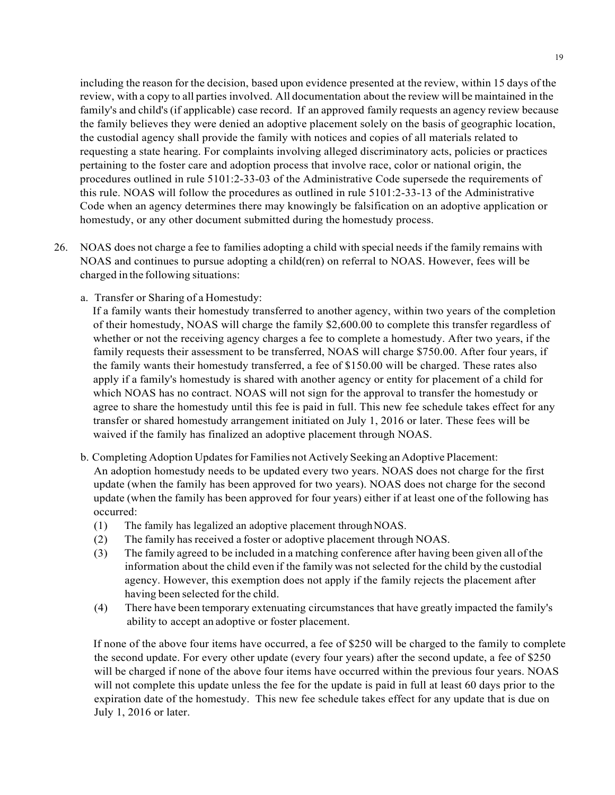including the reason for the decision, based upon evidence presented at the review, within 15 days of the review, with a copy to all parties involved. All documentation about the review will be maintained in the family's and child's (if applicable) case record. If an approved family requests an agency review because the family believes they were denied an adoptive placement solely on the basis of geographic location, the custodial agency shall provide the family with notices and copies of all materials related to requesting a state hearing. For complaints involving alleged discriminatory acts, policies or practices pertaining to the foster care and adoption process that involve race, color or national origin, the procedures outlined in rule 5101:2-33-03 of the Administrative Code supersede the requirements of this rule. NOAS will follow the procedures as outlined in rule 5101:2-33-13 of the Administrative Code when an agency determines there may knowingly be falsification on an adoptive application or homestudy, or any other document submitted during the homestudy process.

- 26. NOAS does not charge a fee to families adopting a child with special needs if the family remains with NOAS and continues to pursue adopting a child(ren) on referral to NOAS. However, fees will be charged in the following situations:
	- a. Transfer or Sharing of a Homestudy:

If a family wants their homestudy transferred to another agency, within two years of the completion of their homestudy, NOAS will charge the family \$2,600.00 to complete this transfer regardless of whether or not the receiving agency charges a fee to complete a homestudy. After two years, if the family requests their assessment to be transferred, NOAS will charge \$750.00. After four years, if the family wants their homestudy transferred, a fee of \$150.00 will be charged. These rates also apply if a family's homestudy is shared with another agency or entity for placement of a child for which NOAS has no contract. NOAS will not sign for the approval to transfer the homestudy or agree to share the homestudy until this fee is paid in full. This new fee schedule takes effect for any transfer or shared homestudy arrangement initiated on July 1, 2016 or later. These fees will be waived if the family has finalized an adoptive placement through NOAS.

- b. Completing Adoption Updates for Families not Actively Seeking an Adoptive Placement: An adoption homestudy needs to be updated every two years. NOAS does not charge for the first update (when the family has been approved for two years). NOAS does not charge for the second update (when the family has been approved for four years) either if at least one of the following has occurred:
	- (1) The family has legalized an adoptive placement throughNOAS.
	- (2) The family has received a foster or adoptive placement through NOAS.
	- (3) The family agreed to be included in a matching conference after having been given all ofthe information about the child even if the family was not selected for the child by the custodial agency. However, this exemption does not apply if the family rejects the placement after having been selected for the child.
	- (4) There have been temporary extenuating circumstances that have greatly impacted the family's ability to accept an adoptive or foster placement.

If none of the above four items have occurred, a fee of \$250 will be charged to the family to complete the second update. For every other update (every four years) after the second update, a fee of \$250 will be charged if none of the above four items have occurred within the previous four years. NOAS will not complete this update unless the fee for the update is paid in full at least 60 days prior to the expiration date of the homestudy. This new fee schedule takes effect for any update that is due on July 1, 2016 or later.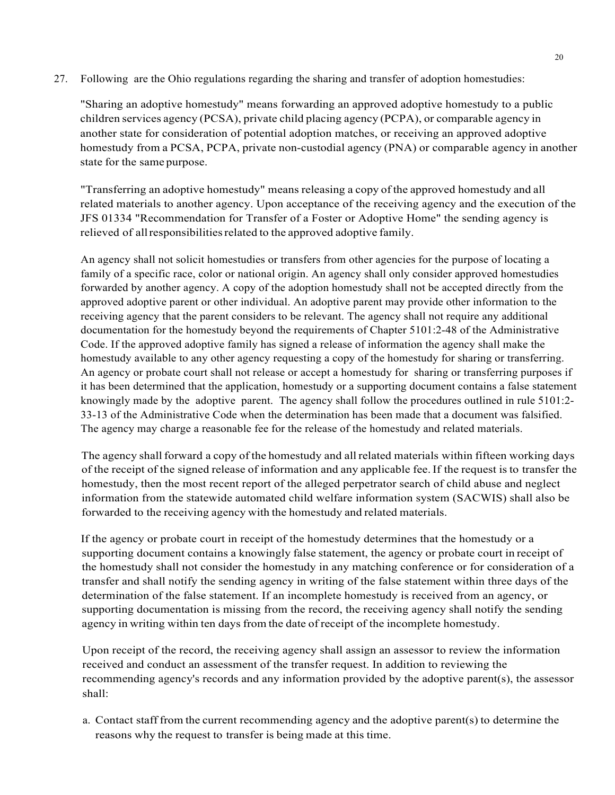27. Following are the Ohio regulations regarding the sharing and transfer of adoption homestudies:

"Sharing an adoptive homestudy" means forwarding an approved adoptive homestudy to a public children services agency (PCSA), private child placing agency (PCPA), or comparable agency in another state for consideration of potential adoption matches, or receiving an approved adoptive homestudy from a PCSA, PCPA, private non-custodial agency (PNA) or comparable agency in another state for the same purpose.

"Transferring an adoptive homestudy" means releasing a copy of the approved homestudy and all related materials to another agency. Upon acceptance of the receiving agency and the execution of the JFS 01334 "Recommendation for Transfer of a Foster or Adoptive Home" the sending agency is relieved of allresponsibilitiesrelated to the approved adoptive family.

An agency shall not solicit homestudies or transfers from other agencies for the purpose of locating a family of a specific race, color or national origin. An agency shall only consider approved homestudies forwarded by another agency. A copy of the adoption homestudy shall not be accepted directly from the approved adoptive parent or other individual. An adoptive parent may provide other information to the receiving agency that the parent considers to be relevant. The agency shall not require any additional documentation for the homestudy beyond the requirements of Chapter 5101:2-48 of the Administrative Code. If the approved adoptive family has signed a release of information the agency shall make the homestudy available to any other agency requesting a copy of the homestudy for sharing or transferring. An agency or probate court shall not release or accept a homestudy for sharing or transferring purposes if it has been determined that the application, homestudy or a supporting document contains a false statement knowingly made by the adoptive parent. The agency shall follow the procedures outlined in rule 5101:2- 33-13 of the Administrative Code when the determination has been made that a document was falsified. The agency may charge a reasonable fee for the release of the homestudy and related materials.

The agency shall forward a copy of the homestudy and allrelated materials within fifteen working days of the receipt of the signed release of information and any applicable fee.If the request isto transfer the homestudy, then the most recent report of the alleged perpetrator search of child abuse and neglect information from the statewide automated child welfare information system (SACWIS) shall also be forwarded to the receiving agency with the homestudy and related materials.

If the agency or probate court in receipt of the homestudy determines that the homestudy or a supporting document contains a knowingly false statement, the agency or probate court in receipt of the homestudy shall not consider the homestudy in any matching conference or for consideration of a transfer and shall notify the sending agency in writing of the false statement within three days of the determination of the false statement. If an incomplete homestudy is received from an agency, or supporting documentation is missing from the record, the receiving agency shall notify the sending agency in writing within ten days from the date of receipt of the incomplete homestudy.

Upon receipt of the record, the receiving agency shall assign an assessor to review the information received and conduct an assessment of the transfer request. In addition to reviewing the recommending agency's records and any information provided by the adoptive parent(s), the assessor shall:

a. Contact staff from the current recommending agency and the adoptive parent(s) to determine the reasons why the request to transfer is being made at this time.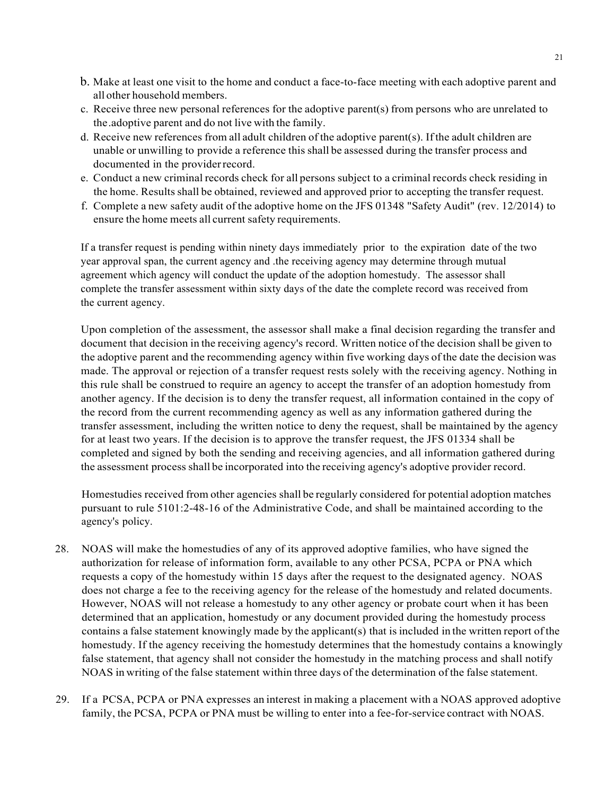- b. Make at least one visit to the home and conduct a face-to-face meeting with each adoptive parent and all other household members.
- c. Receive three new personal references for the adoptive parent(s) from persons who are unrelated to the.adoptive parent and do not live with the family.
- d. Receive new references from all adult children of the adoptive parent(s). Ifthe adult children are unable or unwilling to provide a reference this shall be assessed during the transfer process and documented in the provider record.
- e. Conduct a new criminal records check for all persons subject to a criminal records check residing in the home. Results shall be obtained, reviewed and approved prior to accepting the transfer request.
- f. Complete a new safety audit of the adoptive home on the JFS 01348 "Safety Audit" (rev. 12/2014) to ensure the home meets all current safety requirements.

If a transfer request is pending within ninety days immediately prior to the expiration date of the two year approval span, the current agency and .the receiving agency may determine through mutual agreement which agency will conduct the update of the adoption homestudy. The assessor shall complete the transfer assessment within sixty days of the date the complete record was received from the current agency.

Upon completion of the assessment, the assessor shall make a final decision regarding the transfer and document that decision in the receiving agency's record. Written notice of the decision shall be given to the adoptive parent and the recommending agency within five working days of the date the decision was made. The approval or rejection of a transfer request rests solely with the receiving agency. Nothing in this rule shall be construed to require an agency to accept the transfer of an adoption homestudy from another agency. If the decision is to deny the transfer request, all information contained in the copy of the record from the current recommending agency as well as any information gathered during the transfer assessment, including the written notice to deny the request, shall be maintained by the agency for at least two years. If the decision is to approve the transfer request, the JFS 01334 shall be completed and signed by both the sending and receiving agencies, and all information gathered during the assessment process shall be incorporated into the receiving agency's adoptive provider record.

Homestudies received from other agencies shall be regularly considered for potential adoption matches pursuant to rule 5101:2-48-16 of the Administrative Code, and shall be maintained according to the agency's policy.

- 28. NOAS will make the homestudies of any of its approved adoptive families, who have signed the authorization for release of information form, available to any other PCSA, PCPA or PNA which requests a copy of the homestudy within 15 days after the request to the designated agency. NOAS does not charge a fee to the receiving agency for the release of the homestudy and related documents. However, NOAS will not release a homestudy to any other agency or probate court when it has been determined that an application, homestudy or any document provided during the homestudy process contains a false statement knowingly made by the applicant(s) that is included in the written report of the homestudy. If the agency receiving the homestudy determines that the homestudy contains a knowingly false statement, that agency shall not consider the homestudy in the matching process and shall notify NOAS in writing of the false statement within three days of the determination ofthe false statement.
- 29. If a PCSA, PCPA or PNA expresses an interest in making a placement with a NOAS approved adoptive family, the PCSA, PCPA or PNA must be willing to enter into a fee-for-service contract with NOAS.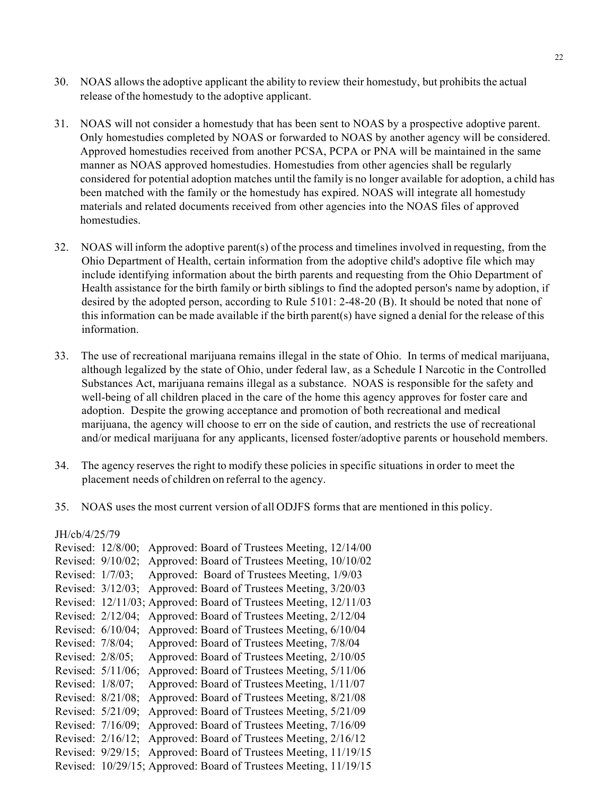- 30. NOAS allows the adoptive applicant the ability to review their homestudy, but prohibits the actual release of the homestudy to the adoptive applicant.
- 31. NOAS will not consider a homestudy that has been sent to NOAS by a prospective adoptive parent. Only homestudies completed by NOAS or forwarded to NOAS by another agency will be considered. Approved homestudies received from another PCSA, PCPA or PNA will be maintained in the same manner as NOAS approved homestudies. Homestudies from other agencies shall be regularly considered for potential adoption matches until the family is no longer available for adoption, a child has been matched with the family or the homestudy has expired. NOAS will integrate all homestudy materials and related documents received from other agencies into the NOAS files of approved homestudies.
- 32. NOAS will inform the adoptive parent(s) of the process and timelines involved in requesting, from the Ohio Department of Health, certain information from the adoptive child's adoptive file which may include identifying information about the birth parents and requesting from the Ohio Department of Health assistance for the birth family or birth siblings to find the adopted person's name by adoption, if desired by the adopted person, according to Rule 5101: 2-48-20 (B). It should be noted that none of this information can be made available if the birth parent(s) have signed a denial for the release of this information.
- 33. The use of recreational marijuana remains illegal in the state of Ohio. In terms of medical marijuana, although legalized by the state of Ohio, under federal law, as a Schedule I Narcotic in the Controlled Substances Act, marijuana remains illegal as a substance. NOAS is responsible for the safety and well-being of all children placed in the care of the home this agency approves for foster care and adoption. Despite the growing acceptance and promotion of both recreational and medical marijuana, the agency will choose to err on the side of caution, and restricts the use of recreational and/or medical marijuana for any applicants, licensed foster/adoptive parents or household members.
- 34. The agency reserves the right to modify these policies in specific situations in order to meet the placement needs of children on referral to the agency.
- 35. NOAS uses the most current version of all ODJFS forms that are mentioned in this policy.

JH/cb/4/25/79

| Revised: 12/8/00; | Approved: Board of Trustees Meeting, 12/14/00                    |
|-------------------|------------------------------------------------------------------|
| Revised: 9/10/02; | Approved: Board of Trustees Meeting, 10/10/02                    |
| Revised: 1/7/03;  | Approved: Board of Trustees Meeting, 1/9/03                      |
| Revised: 3/12/03; | Approved: Board of Trustees Meeting, 3/20/03                     |
|                   | Revised: 12/11/03; Approved: Board of Trustees Meeting, 12/11/03 |
| Revised: 2/12/04; | Approved: Board of Trustees Meeting, 2/12/04                     |
| Revised: 6/10/04; | Approved: Board of Trustees Meeting, 6/10/04                     |
| Revised: 7/8/04;  | Approved: Board of Trustees Meeting, 7/8/04                      |
| Revised: 2/8/05;  | Approved: Board of Trustees Meeting, 2/10/05                     |
| Revised: 5/11/06; | Approved: Board of Trustees Meeting, 5/11/06                     |
| Revised: 1/8/07;  | Approved: Board of Trustees Meeting, 1/11/07                     |
| Revised: 8/21/08; | Approved: Board of Trustees Meeting, 8/21/08                     |
| Revised: 5/21/09; | Approved: Board of Trustees Meeting, 5/21/09                     |
| Revised: 7/16/09; | Approved: Board of Trustees Meeting, 7/16/09                     |
| Revised: 2/16/12; | Approved: Board of Trustees Meeting, 2/16/12                     |
| Revised: 9/29/15; | Approved: Board of Trustees Meeting, 11/19/15                    |
|                   | Revised: 10/29/15; Approved: Board of Trustees Meeting, 11/19/15 |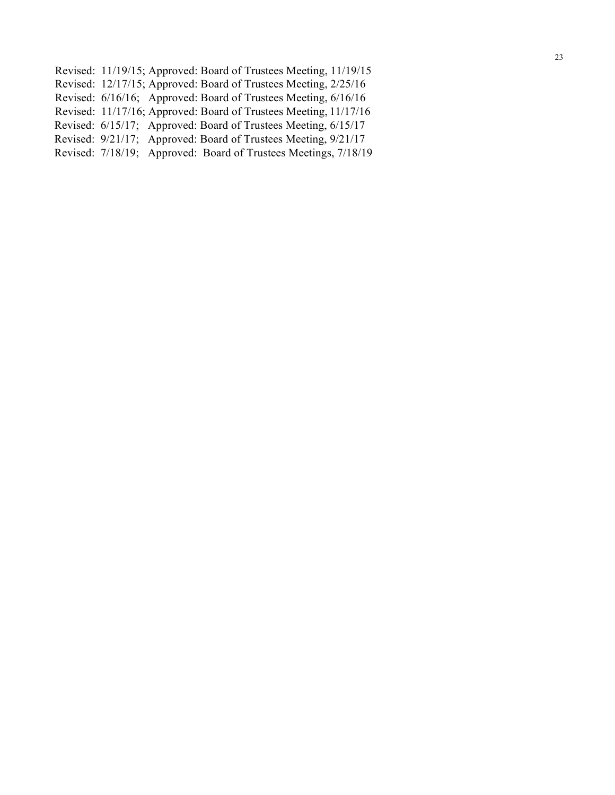- Revised: 11/19/15; Approved: Board of Trustees Meeting, 11/19/15
- Revised: 12/17/15; Approved: Board of Trustees Meeting, 2/25/16
- Revised: 6/16/16; Approved: Board of Trustees Meeting, 6/16/16
- Revised: 11/17/16; Approved: Board of Trustees Meeting, 11/17/16
- Revised: 6/15/17; Approved: Board of Trustees Meeting, 6/15/17
- Revised: 9/21/17; Approved: Board of Trustees Meeting, 9/21/17
- Revised: 7/18/19; Approved: Board of Trustees Meetings, 7/18/19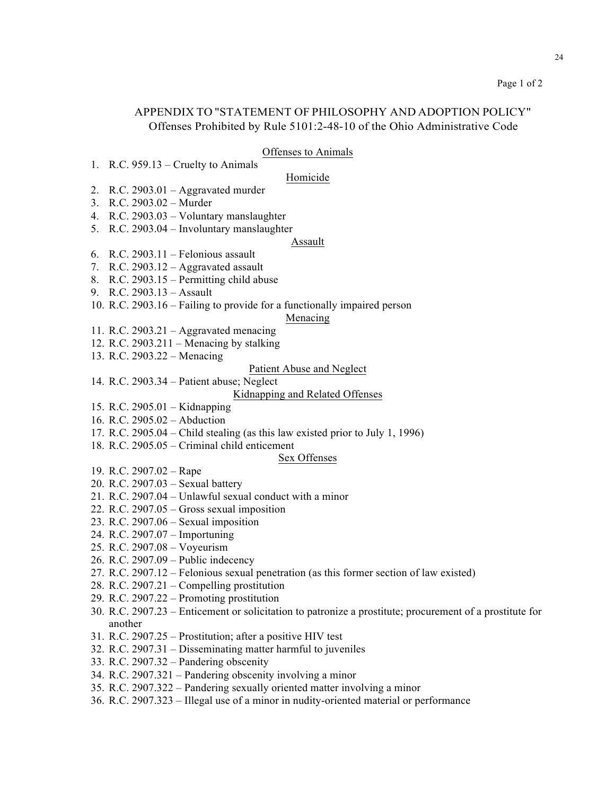# APPENDIX TO "STATEMENT OF PHILOSOPHY AND ADOPTION POLICY" Offenses Prohibited by Rule 5101:2-48-10 of the Ohio Administrative Code

### Offenses to Animals

1. R.C. 959.13 – Cruelty to Animals

## Homicide

- 2. R.C. 2903.01 Aggravated murder
- 3. R.C. 2903.02 Murder
- 4. R.C. 2903.03 Voluntary manslaughter
- 5. R.C. 2903.04 Involuntary manslaughter

#### Assault

- 6. R.C. 2903.11 Felonious assault
- 7. R.C.  $2903.12 -$  Aggravated assault
- 8. R.C. 2903.15 Permitting child abuse
- 9. R.C. 2903.13 Assault
- 10. R.C. 2903.16 Failing to provide for a functionally impaired person

### Menacing

- 11. R.C. 2903.21 Aggravated menacing
- 12. R.C. 2903.211 Menacing by stalking
- 13. R.C. 2903.22 Menacing

# Patient Abuse and Neglect

14. R.C. 2903.34 – Patient abuse; Neglect

## Kidnapping and Related Offenses

- 15. R.C. 2905.01 Kidnapping
- 16. R.C. 2905.02 Abduction
- 17. R.C. 2905.04 Child stealing (as this law existed prior to July 1, 1996)

# 18. R.C. 2905.05 – Criminal child enticement

### Sex Offenses

- 19. R.C. 2907.02 Rape
- 20. R.C. 2907.03 Sexual battery
- 21. R.C. 2907.04 Unlawful sexual conduct with a minor
- 22. R.C. 2907.05 Gross sexual imposition
- 23. R.C. 2907.06 Sexual imposition
- 24. R.C. 2907.07 Importuning
- 25. R.C. 2907.08 Voyeurism
- 26. R.C. 2907.09 Public indecency
- 27. R.C. 2907.12 Felonious sexual penetration (as this former section of law existed)
- 28. R.C. 2907.21 Compelling prostitution
- 29. R.C. 2907.22 Promoting prostitution
- 30. R.C. 2907.23 Enticement or solicitation to patronize a prostitute; procurement of a prostitute for another
- 31. R.C. 2907.25 Prostitution; after a positive HIV test
- 32. R.C. 2907.31 Disseminating matter harmful to juveniles
- 33. R.C. 2907.32 Pandering obscenity
- 34. R.C. 2907.321 Pandering obscenity involving a minor
- 35. R.C. 2907.322 Pandering sexually oriented matter involving a minor
- 36. R.C. 2907.323 Illegal use of a minor in nudity-oriented material or performance